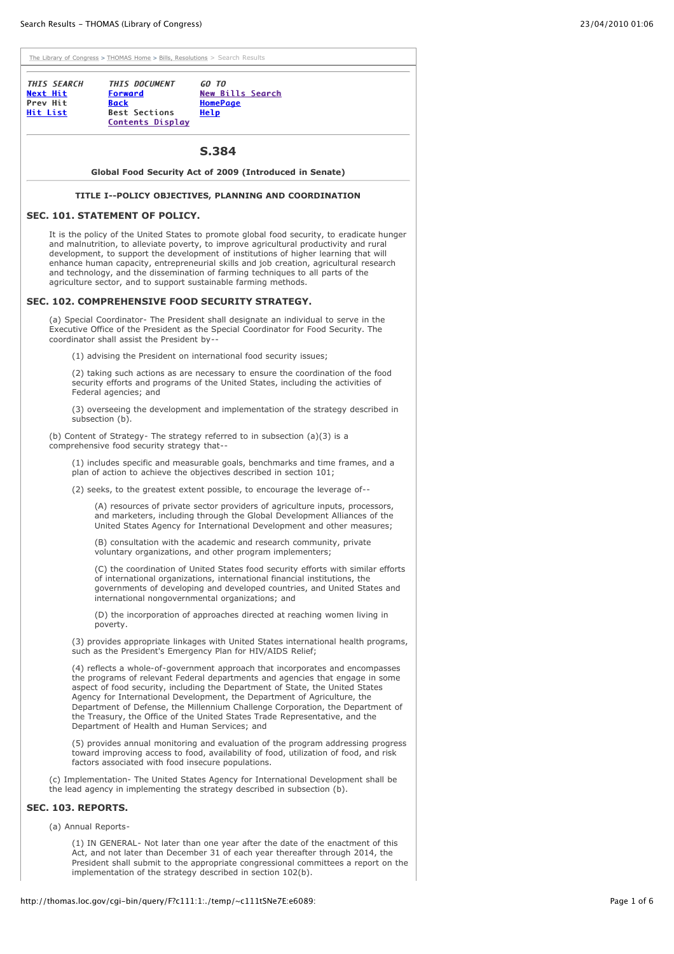| THIS SEARCH<br>Next Hit     | <b>THIS DOCUMENT</b><br><b>Forward</b>                         | GO TO<br><b>New Bills Search</b>                                                                                                                                                                                                                                                                                                                                                                                                                                                                                             |
|-----------------------------|----------------------------------------------------------------|------------------------------------------------------------------------------------------------------------------------------------------------------------------------------------------------------------------------------------------------------------------------------------------------------------------------------------------------------------------------------------------------------------------------------------------------------------------------------------------------------------------------------|
| Prev Hit<br><u>Hit List</u> | <b>Back</b><br><b>Best Sections</b><br><b>Contents Display</b> | <b>HomePage</b><br><b>Help</b>                                                                                                                                                                                                                                                                                                                                                                                                                                                                                               |
|                             |                                                                | S.384                                                                                                                                                                                                                                                                                                                                                                                                                                                                                                                        |
|                             |                                                                | Global Food Security Act of 2009 (Introduced in Senate)                                                                                                                                                                                                                                                                                                                                                                                                                                                                      |
|                             |                                                                | TITLE I--POLICY OBJECTIVES, PLANNING AND COORDINATION                                                                                                                                                                                                                                                                                                                                                                                                                                                                        |
|                             | SEC. 101. STATEMENT OF POLICY.                                 |                                                                                                                                                                                                                                                                                                                                                                                                                                                                                                                              |
|                             |                                                                | It is the policy of the United States to promote global food security, to eradicate hunger<br>and malnutrition, to alleviate poverty, to improve agricultural productivity and rural<br>development, to support the development of institutions of higher learning that will<br>enhance human capacity, entrepreneurial skills and job creation, agricultural research<br>and technology, and the dissemination of farming techniques to all parts of the<br>agriculture sector, and to support sustainable farming methods. |
|                             |                                                                | SEC. 102. COMPREHENSIVE FOOD SECURITY STRATEGY.                                                                                                                                                                                                                                                                                                                                                                                                                                                                              |
|                             | coordinator shall assist the President by--                    | (a) Special Coordinator- The President shall designate an individual to serve in the<br>Executive Office of the President as the Special Coordinator for Food Security. The                                                                                                                                                                                                                                                                                                                                                  |
|                             |                                                                | (1) advising the President on international food security issues;                                                                                                                                                                                                                                                                                                                                                                                                                                                            |
|                             | Federal agencies; and                                          | (2) taking such actions as are necessary to ensure the coordination of the food<br>security efforts and programs of the United States, including the activities of                                                                                                                                                                                                                                                                                                                                                           |
|                             | subsection (b).                                                | (3) overseeing the development and implementation of the strategy described in                                                                                                                                                                                                                                                                                                                                                                                                                                               |
|                             | comprehensive food security strategy that--                    | (b) Content of Strategy- The strategy referred to in subsection $(a)(3)$ is a                                                                                                                                                                                                                                                                                                                                                                                                                                                |
|                             |                                                                | (1) includes specific and measurable goals, benchmarks and time frames, and a<br>plan of action to achieve the objectives described in section 101;                                                                                                                                                                                                                                                                                                                                                                          |
|                             |                                                                | (2) seeks, to the greatest extent possible, to encourage the leverage of--                                                                                                                                                                                                                                                                                                                                                                                                                                                   |
|                             |                                                                | (A) resources of private sector providers of agriculture inputs, processors,<br>and marketers, including through the Global Development Alliances of the<br>United States Agency for International Development and other measures;                                                                                                                                                                                                                                                                                           |
|                             |                                                                | (B) consultation with the academic and research community, private<br>voluntary organizations, and other program implementers;                                                                                                                                                                                                                                                                                                                                                                                               |
|                             |                                                                | (C) the coordination of United States food security efforts with similar efforts<br>of international organizations, international financial institutions, the<br>governments of developing and developed countries, and United States and<br>international nongovernmental organizations; and                                                                                                                                                                                                                                |
|                             | poverty.                                                       | (D) the incorporation of approaches directed at reaching women living in                                                                                                                                                                                                                                                                                                                                                                                                                                                     |
|                             |                                                                | (3) provides appropriate linkages with United States international health programs,<br>such as the President's Emergency Plan for HIV/AIDS Relief;                                                                                                                                                                                                                                                                                                                                                                           |
|                             | Department of Health and Human Services; and                   | (4) reflects a whole-of-government approach that incorporates and encompasses<br>the programs of relevant Federal departments and agencies that engage in some<br>aspect of food security, including the Department of State, the United States<br>Agency for International Development, the Department of Agriculture, the<br>Department of Defense, the Millennium Challenge Corporation, the Department of<br>the Treasury, the Office of the United States Trade Representative, and the                                 |
|                             | factors associated with food insecure populations.             | (5) provides annual monitoring and evaluation of the program addressing progress<br>toward improving access to food, availability of food, utilization of food, and risk                                                                                                                                                                                                                                                                                                                                                     |
|                             |                                                                | (c) Implementation- The United States Agency for International Development shall be<br>the lead agency in implementing the strategy described in subsection (b).                                                                                                                                                                                                                                                                                                                                                             |
| SEC. 103. REPORTS.          |                                                                |                                                                                                                                                                                                                                                                                                                                                                                                                                                                                                                              |
| (a) Annual Reports-         |                                                                |                                                                                                                                                                                                                                                                                                                                                                                                                                                                                                                              |
|                             |                                                                | (1) IN GENERAL- Not later than one year after the date of the enactment of this<br>Act, and not later than December 31 of each year thereafter through 2014, the<br>President shall submit to the appropriate congressional committees a report on the<br>implementation of the strategy described in section 102(b).                                                                                                                                                                                                        |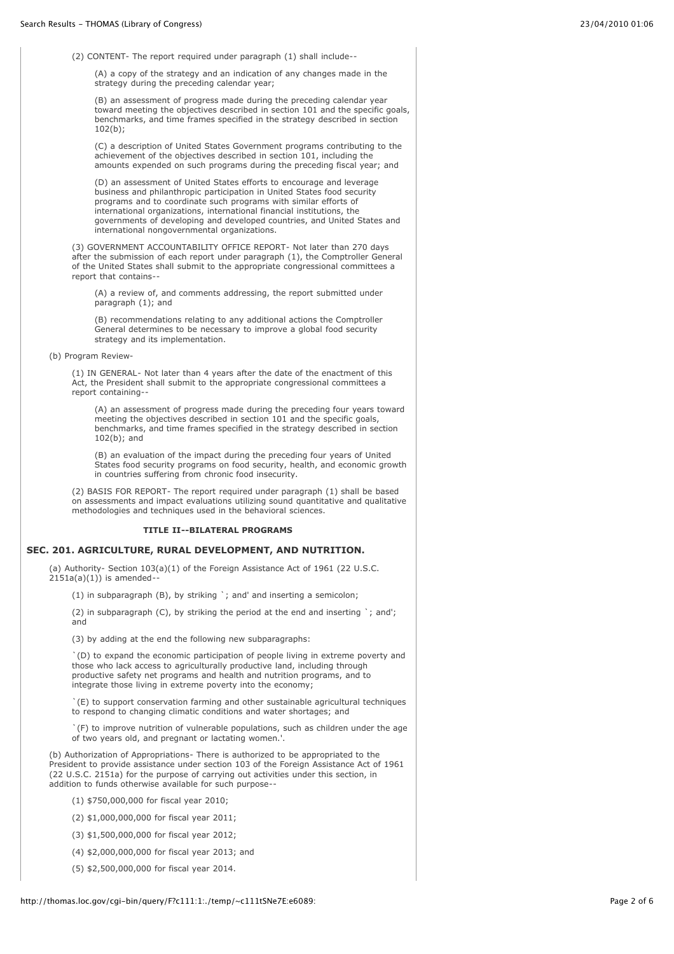(2) CONTENT- The report required under paragraph (1) shall include--

(A) a copy of the strategy and an indication of any changes made in the strategy during the preceding calendar year:

(B) an assessment of progress made during the preceding calendar year toward meeting the objectives described in section 101 and the specific goals, benchmarks, and time frames specified in the strategy described in section 102(b);

(C) a description of United States Government programs contributing to the achievement of the objectives described in section 101, including the amounts expended on such programs during the preceding fiscal year; and

(D) an assessment of United States efforts to encourage and leverage business and philanthropic participation in United States food security programs and to coordinate such programs with similar efforts of international organizations, international financial institutions, the governments of developing and developed countries, and United States and international nongovernmental organizations.

(3) GOVERNMENT ACCOUNTABILITY OFFICE REPORT- Not later than 270 days after the submission of each report under paragraph  $(1)$ , the Comptroller General of the United States shall submit to the appropriate congressional committees a report that contains--

(A) a review of, and comments addressing, the report submitted under paragraph (1); and

(B) recommendations relating to any additional actions the Comptroller General determines to be necessary to improve a global food security strategy and its implementation.

(b) Program Review-

(1) IN GENERAL- Not later than 4 years after the date of the enactment of this Act, the President shall submit to the appropriate congressional committees a report containing--

(A) an assessment of progress made during the preceding four years toward meeting the objectives described in section 101 and the specific goals, benchmarks, and time frames specified in the strategy described in section 102(b); and

(B) an evaluation of the impact during the preceding four years of United States food security programs on food security, health, and economic growth in countries suffering from chronic food insecurity.

(2) BASIS FOR REPORT- The report required under paragraph (1) shall be based on assessments and impact evaluations utilizing sound quantitative and qualitative methodologies and techniques used in the behavioral sciences.

#### **TITLE II--BILATERAL PROGRAMS**

## **SEC. 201. AGRICULTURE, RURAL DEVELOPMENT, AND NUTRITION.**

(a) Authority- Section 103(a)(1) of the Foreign Assistance Act of 1961 (22 U.S.C. 2151a(a)(1)) is amended--

(1) in subparagraph (B), by striking `; and' and inserting a semicolon;

(2) in subparagraph (C), by striking the period at the end and inserting `; and'; and

(3) by adding at the end the following new subparagraphs:

`(D) to expand the economic participation of people living in extreme poverty and those who lack access to agriculturally productive land, including through productive safety net programs and health and nutrition programs, and to integrate those living in extreme poverty into the economy;

`(E) to support conservation farming and other sustainable agricultural techniques to respond to changing climatic conditions and water shortages; and

`(F) to improve nutrition of vulnerable populations, such as children under the age of two years old, and pregnant or lactating women.'.

(b) Authorization of Appropriations- There is authorized to be appropriated to the President to provide assistance under section 103 of the Foreign Assistance Act of 1961 (22 U.S.C. 2151a) for the purpose of carrying out activities under this section, in addition to funds otherwise available for such purpose--

(1) \$750,000,000 for fiscal year 2010;

(2) \$1,000,000,000 for fiscal year 2011;

- (3) \$1,500,000,000 for fiscal year 2012;
- (4) \$2,000,000,000 for fiscal year 2013; and
- (5) \$2,500,000,000 for fiscal year 2014.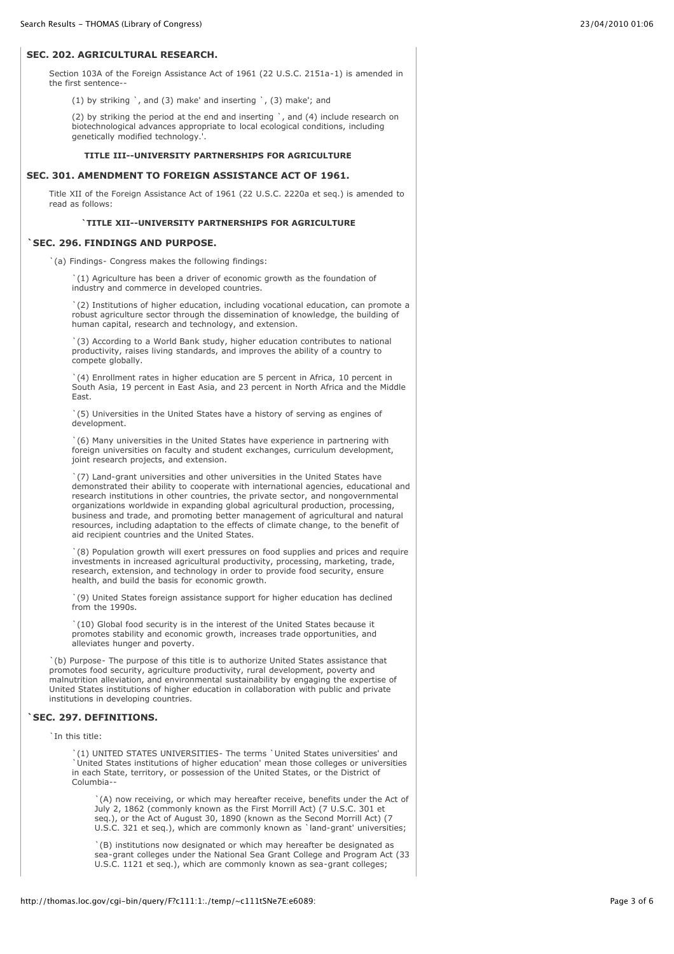## **SEC. 202. AGRICULTURAL RESEARCH.**

Section 103A of the Foreign Assistance Act of 1961 (22 U.S.C. 2151a-1) is amended in the first sentence--

(1) by striking `, and (3) make' and inserting `, (3) make'; and

(2) by striking the period at the end and inserting  $\cdot$ , and (4) include research on biotechnological advances appropriate to local ecological conditions, including genetically modified technology.'.

#### **TITLE III--UNIVERSITY PARTNERSHIPS FOR AGRICULTURE**

### **SEC. 301. AMENDMENT TO FOREIGN ASSISTANCE ACT OF 1961.**

Title XII of the Foreign Assistance Act of 1961 (22 U.S.C. 2220a et seq.) is amended to read as follows:

### **`TITLE XII--UNIVERSITY PARTNERSHIPS FOR AGRICULTURE**

# **`SEC. 296. FINDINGS AND PURPOSE.**

`(a) Findings- Congress makes the following findings:

`(1) Agriculture has been a driver of economic growth as the foundation of industry and commerce in developed countries.

`(2) Institutions of higher education, including vocational education, can promote a robust agriculture sector through the dissemination of knowledge, the building of human capital, research and technology, and extension.

`(3) According to a World Bank study, higher education contributes to national productivity, raises living standards, and improves the ability of a country to compete globally.

`(4) Enrollment rates in higher education are 5 percent in Africa, 10 percent in South Asia, 19 percent in East Asia, and 23 percent in North Africa and the Middle East.

`(5) Universities in the United States have a history of serving as engines of development.

`(6) Many universities in the United States have experience in partnering with foreign universities on faculty and student exchanges, curriculum development, joint research projects, and extension.

`(7) Land-grant universities and other universities in the United States have demonstrated their ability to cooperate with international agencies, educational and research institutions in other countries, the private sector, and nongovernmental organizations worldwide in expanding global agricultural production, processing, business and trade, and promoting better management of agricultural and natural resources, including adaptation to the effects of climate change, to the benefit of aid recipient countries and the United States.

`(8) Population growth will exert pressures on food supplies and prices and require investments in increased agricultural productivity, processing, marketing, trade, research, extension, and technology in order to provide food security, ensure health, and build the basis for economic growth.

`(9) United States foreign assistance support for higher education has declined from the 1990s.

`(10) Global food security is in the interest of the United States because it promotes stability and economic growth, increases trade opportunities, and alleviates hunger and poverty.

`(b) Purpose- The purpose of this title is to authorize United States assistance that promotes food security, agriculture productivity, rural development, poverty and malnutrition alleviation, and environmental sustainability by engaging the expertise of United States institutions of higher education in collaboration with public and private institutions in developing countries.

### **`SEC. 297. DEFINITIONS.**

`In this title:

`(1) UNITED STATES UNIVERSITIES- The terms `United States universities' and `United States institutions of higher education' mean those colleges or universities in each State, territory, or possession of the United States, or the District of Columbia--

`(A) now receiving, or which may hereafter receive, benefits under the Act of July 2, 1862 (commonly known as the First Morrill Act) (7 U.S.C. 301 et seq.), or the Act of August 30, 1890 (known as the Second Morrill Act) (7 U.S.C. 321 et seq.), which are commonly known as `land-grant' universities;

`(B) institutions now designated or which may hereafter be designated as sea-grant colleges under the National Sea Grant College and Program Act (33 U.S.C. 1121 et seq.), which are commonly known as sea-grant colleges;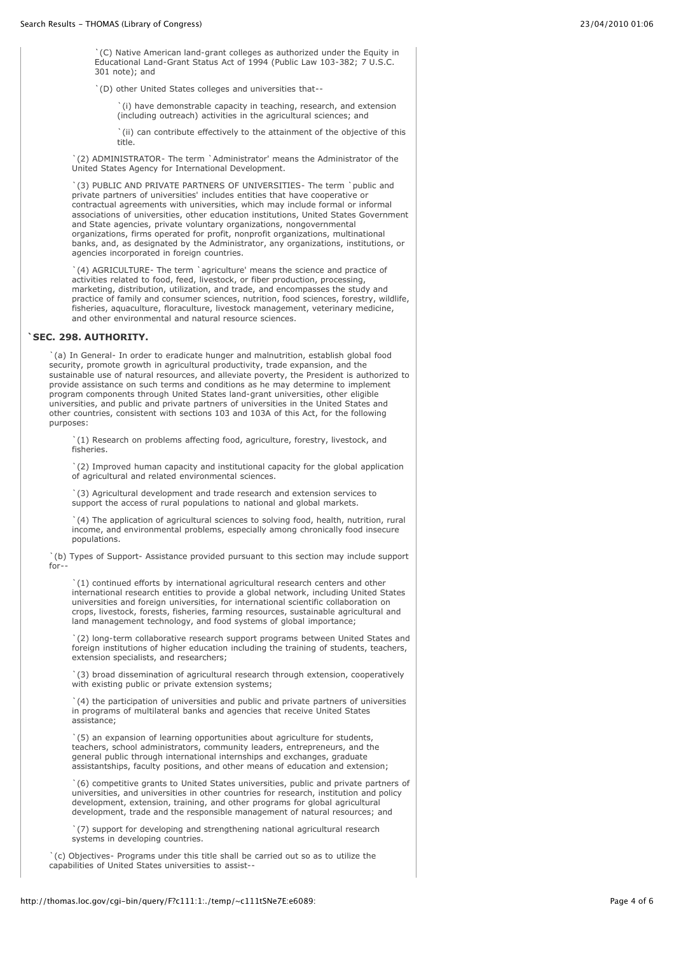`(C) Native American land-grant colleges as authorized under the Equity in Educational Land-Grant Status Act of 1994 (Public Law 103-382; 7 U.S.C. 301 note); and

`(D) other United States colleges and universities that--

`(i) have demonstrable capacity in teaching, research, and extension (including outreach) activities in the agricultural sciences; and

`(ii) can contribute effectively to the attainment of the objective of this title.

`(2) ADMINISTRATOR- The term `Administrator' means the Administrator of the United States Agency for International Development.

`(3) PUBLIC AND PRIVATE PARTNERS OF UNIVERSITIES- The term `public and private partners of universities' includes entities that have cooperative or contractual agreements with universities, which may include formal or informal associations of universities, other education institutions, United States Government and State agencies, private voluntary organizations, nongovernmental organizations, firms operated for profit, nonprofit organizations, multinational banks, and, as designated by the Administrator, any organizations, institutions, or agencies incorporated in foreign countries.

`(4) AGRICULTURE- The term `agriculture' means the science and practice of activities related to food, feed, livestock, or fiber production, processing, marketing, distribution, utilization, and trade, and encompasses the study and practice of family and consumer sciences, nutrition, food sciences, forestry, wildlife, fisheries, aquaculture, floraculture, livestock management, veterinary medicine, and other environmental and natural resource sciences.

#### **`SEC. 298. AUTHORITY.**

`(a) In General- In order to eradicate hunger and malnutrition, establish global food security, promote growth in agricultural productivity, trade expansion, and the sustainable use of natural resources, and alleviate poverty, the President is authorized to provide assistance on such terms and conditions as he may determine to implement program components through United States land-grant universities, other eligible universities, and public and private partners of universities in the United States and other countries, consistent with sections 103 and 103A of this Act, for the following purposes:

`(1) Research on problems affecting food, agriculture, forestry, livestock, and fisheries.

`(2) Improved human capacity and institutional capacity for the global application of agricultural and related environmental sciences.

`(3) Agricultural development and trade research and extension services to support the access of rural populations to national and global markets.

`(4) The application of agricultural sciences to solving food, health, nutrition, rural income, and environmental problems, especially among chronically food insecure populations.

`(b) Types of Support- Assistance provided pursuant to this section may include support for--

`(1) continued efforts by international agricultural research centers and other international research entities to provide a global network, including United States universities and foreign universities, for international scientific collaboration on crops, livestock, forests, fisheries, farming resources, sustainable agricultural and land management technology, and food systems of global importance;

`(2) long-term collaborative research support programs between United States and foreign institutions of higher education including the training of students, teachers, extension specialists, and researchers;

`(3) broad dissemination of agricultural research through extension, cooperatively with existing public or private extension systems;

`(4) the participation of universities and public and private partners of universities in programs of multilateral banks and agencies that receive United States assistance;

`(5) an expansion of learning opportunities about agriculture for students, teachers, school administrators, community leaders, entrepreneurs, and the general public through international internships and exchanges, graduate assistantships, faculty positions, and other means of education and extension;

`(6) competitive grants to United States universities, public and private partners of universities, and universities in other countries for research, institution and policy development, extension, training, and other programs for global agricultural development, trade and the responsible management of natural resources; and

`(7) support for developing and strengthening national agricultural research systems in developing countries.

`(c) Objectives- Programs under this title shall be carried out so as to utilize the capabilities of United States universities to assist--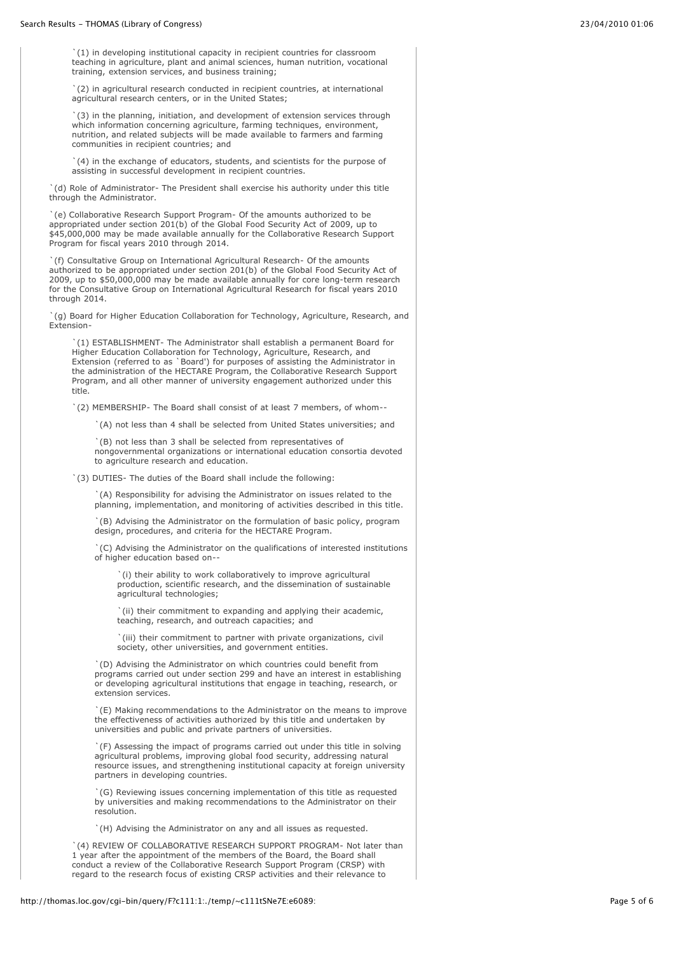`(1) in developing institutional capacity in recipient countries for classroom teaching in agriculture, plant and animal sciences, human nutrition, vocational training, extension services, and business training;

`(2) in agricultural research conducted in recipient countries, at international agricultural research centers, or in the United States;

`(3) in the planning, initiation, and development of extension services through which information concerning agriculture, farming techniques, environment, nutrition, and related subjects will be made available to farmers and farming communities in recipient countries; and

`(4) in the exchange of educators, students, and scientists for the purpose of assisting in successful development in recipient countries.

`(d) Role of Administrator- The President shall exercise his authority under this title through the Administrator.

`(e) Collaborative Research Support Program- Of the amounts authorized to be appropriated under section 201(b) of the Global Food Security Act of 2009, up to \$45,000,000 may be made available annually for the Collaborative Research Support Program for fiscal years 2010 through 2014.

`(f) Consultative Group on International Agricultural Research- Of the amounts authorized to be appropriated under section 201(b) of the Global Food Security Act of 2009, up to \$50,000,000 may be made available annually for core long-term research for the Consultative Group on International Agricultural Research for fiscal years 2010 through 2014.

`(g) Board for Higher Education Collaboration for Technology, Agriculture, Research, and Extension-

`(1) ESTABLISHMENT- The Administrator shall establish a permanent Board for Higher Education Collaboration for Technology, Agriculture, Research, and Extension (referred to as `Board') for purposes of assisting the Administrator in the administration of the HECTARE Program, the Collaborative Research Support Program, and all other manner of university engagement authorized under this title.

`(2) MEMBERSHIP- The Board shall consist of at least 7 members, of whom--

`(A) not less than 4 shall be selected from United States universities; and

`(B) not less than 3 shall be selected from representatives of nongovernmental organizations or international education consortia devoted to agriculture research and education.

`(3) DUTIES- The duties of the Board shall include the following:

`(A) Responsibility for advising the Administrator on issues related to the planning, implementation, and monitoring of activities described in this title.

`(B) Advising the Administrator on the formulation of basic policy, program design, procedures, and criteria for the HECTARE Program.

`(C) Advising the Administrator on the qualifications of interested institutions of higher education based on--

`(i) their ability to work collaboratively to improve agricultural production, scientific research, and the dissemination of sustainable agricultural technologies;

`(ii) their commitment to expanding and applying their academic, teaching, research, and outreach capacities; and

`(iii) their commitment to partner with private organizations, civil society, other universities, and government entities.

`(D) Advising the Administrator on which countries could benefit from programs carried out under section 299 and have an interest in establishing or developing agricultural institutions that engage in teaching, research, or extension services.

`(E) Making recommendations to the Administrator on the means to improve the effectiveness of activities authorized by this title and undertaken by universities and public and private partners of universities.

`(F) Assessing the impact of programs carried out under this title in solving agricultural problems, improving global food security, addressing natural resource issues, and strengthening institutional capacity at foreign university partners in developing countries.

`(G) Reviewing issues concerning implementation of this title as requested by universities and making recommendations to the Administrator on their resolution.

`(H) Advising the Administrator on any and all issues as requested.

`(4) REVIEW OF COLLABORATIVE RESEARCH SUPPORT PROGRAM- Not later than 1 year after the appointment of the members of the Board, the Board shall conduct a review of the Collaborative Research Support Program (CRSP) with regard to the research focus of existing CRSP activities and their relevance to